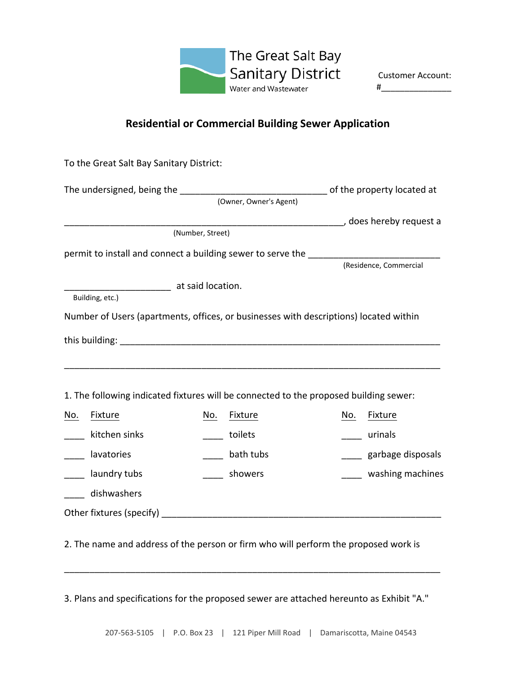

**Customer Account:** #\_\_\_\_\_\_\_\_\_\_\_\_\_\_\_

## **Residential or Commercial Building Sewer Application**

|     | To the Great Salt Bay Sanitary District:                                                |                  |                        |     |                   |
|-----|-----------------------------------------------------------------------------------------|------------------|------------------------|-----|-------------------|
|     | The undersigned, being the the state of the property located at                         |                  | (Owner, Owner's Agent) |     |                   |
|     |                                                                                         |                  |                        |     |                   |
|     |                                                                                         | (Number, Street) |                        |     |                   |
|     | permit to install and connect a building sewer to serve the ___________________________ |                  | (Residence, Commercial |     |                   |
|     | at said location.                                                                       |                  |                        |     |                   |
|     | Building, etc.)                                                                         |                  |                        |     |                   |
|     | Number of Users (apartments, offices, or businesses with descriptions) located within   |                  |                        |     |                   |
|     |                                                                                         |                  |                        |     |                   |
|     |                                                                                         |                  |                        |     |                   |
|     | 1. The following indicated fixtures will be connected to the proposed building sewer:   |                  |                        |     |                   |
| No. | <b>Fixture</b>                                                                          | No.              | <b>Fixture</b>         | No. | Fixture           |
|     | kitchen sinks                                                                           |                  | toilets                |     | urinals           |
|     | lavatories                                                                              |                  | bath tubs              |     | garbage disposals |
|     | laundry tubs                                                                            |                  | showers                |     | washing machines  |
|     | dishwashers                                                                             |                  |                        |     |                   |
|     |                                                                                         |                  |                        |     |                   |
|     | 2. The name and address of the person or firm who will perform the proposed work is     |                  |                        |     |                   |
|     |                                                                                         |                  |                        |     |                   |

3. Plans and specifications for the proposed sewer are attached hereunto as Exhibit "A."